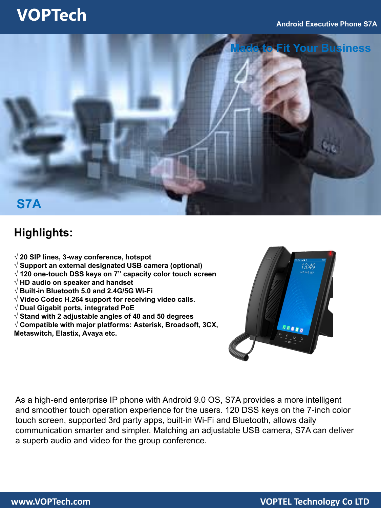### **VOPTech**



### **Highlights:**

- **√ 20 SIP lines, 3-way conference, hotspot**
- **√ Support an external designated USB camera (optional)**
- **√ 120 one-touch DSS keys on 7" capacity color touch screen**
- **√ HD audio on speaker and handset**
- **√ Built-in Bluetooth 5.0 and 2.4G/5G Wi-Fi**
- **√ Video Codec H.264 support for receiving video calls.**
- **√ Dual Gigabit ports, integrated PoE**
- **√ Stand with 2 adjustable angles of 40 and 50 degrees**
- **√ Compatible with major platforms: Asterisk, Broadsoft, 3CX, Metaswitch, Elastix, Avaya etc.**



As a high-end enterprise IP phone with Android 9.0 OS, S7A provides a more intelligent and smoother touch operation experience for the users. 120 DSS keys on the 7-inch color touch screen, supported 3rd party apps, built-in Wi-Fi and Bluetooth, allows daily communication smarter and simpler. Matching an adjustable USB camera, S7A can deliver a superb audio and video for the group conference.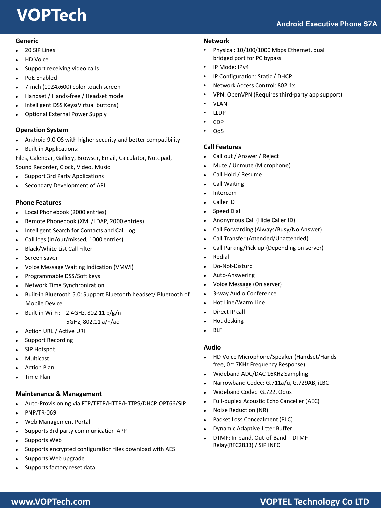# **VOPTech**

#### **Generic**

- 20 SIP Lines
- HD Voice
- Support receiving video calls
- PoE Enabled
- 7-inch (1024x600) color touch screen
- Handset / Hands-free / Headset mode
- Intelligent DSS Keys(Virtual buttons)
- Optional External Power Supply

#### **Operation System**

- Android 9.0 OS with higher security and better compatibility
- Built-in Applications:

Files, Calendar, Gallery, Browser, Email, Calculator, Notepad, Sound Recorder, Clock, Video, Music

- Support 3rd Party Applications
- Secondary Development of API

#### **Phone Features**

- Local Phonebook (2000 entries)
- Remote Phonebook (XML/LDAP, 2000 entries)
- Intelligent Search for Contacts and Call Log
- Call logs (In/out/missed, 1000 entries)
- Black/White List Call Filter
- Screen saver
- Voice Message Waiting Indication (VMWI)
- Programmable DSS/Soft keys
- Network Time Synchronization
- Built-in Bluetooth 5.0: Support Bluetooth headset/ Bluetooth of Mobile Device
- Built-in Wi-Fi: 2.4GHz, 802.11 b/g/n

5GHz, 802.11 a/n/ac

- Action URL / Active URI
- Support Recording
- SIP Hotspot
- Multicast
- Action Plan
- Time Plan

#### **Maintenance & Management**

- Auto-Provisioning via FTP/TFTP/HTTP/HTTPS/DHCP OPT66/SIP
- PNP/TR-069
- Web Management Portal
- Supports 3rd party communication APP
- Supports Web
- Supports encrypted configuration files download with AES
- Supports Web upgrade
- Supports factory reset data

#### **Network**

- Physical: 10/100/1000 Mbps Ethernet, dual bridged port for PC bypass
- IP Mode: IPv4
- IP Configuration: Static / DHCP
- Network Access Control: 802.1x
- VPN: OpenVPN (Requires third-party app support)
- VLAN
- LLDP
- CDP
- QoS

#### **Call Features**

- Call out / Answer / Reject
- Mute / Unmute (Microphone)
- Call Hold / Resume
- Call Waiting
- Intercom
- Caller ID
- Speed Dial
- Anonymous Call (Hide Caller ID)
- Call Forwarding (Always/Busy/No Answer)
- Call Transfer (Attended/Unattended)
- Call Parking/Pick-up (Depending on server)
- Redial
- Do-Not-Disturb
- Auto-Answering
- Voice Message (On server)
- 3-way Audio Conference
- Hot Line/Warm Line
- Direct IP call
- Hot desking
- BLF

#### **Audio**

- HD Voice Microphone/Speaker (Handset/Handsfree, 0 ~ 7KHz Frequency Response)
- Wideband ADC/DAC 16KHz Sampling
- Narrowband Codec: G.711a/u, G.729AB, iLBC
- Wideband Codec: G.722, Opus
- Full-duplex Acoustic Echo Canceller (AEC)
- Noise Reduction (NR)
- Packet Loss Concealment (PLC)
- Dynamic Adaptive Jitter Buffer
- DTMF: In-band, Out-of-Band DTMF-Relay(RFC2833) / SIP INFO

### **www.VOPTech.com VOPTEL Technology Co LTD**